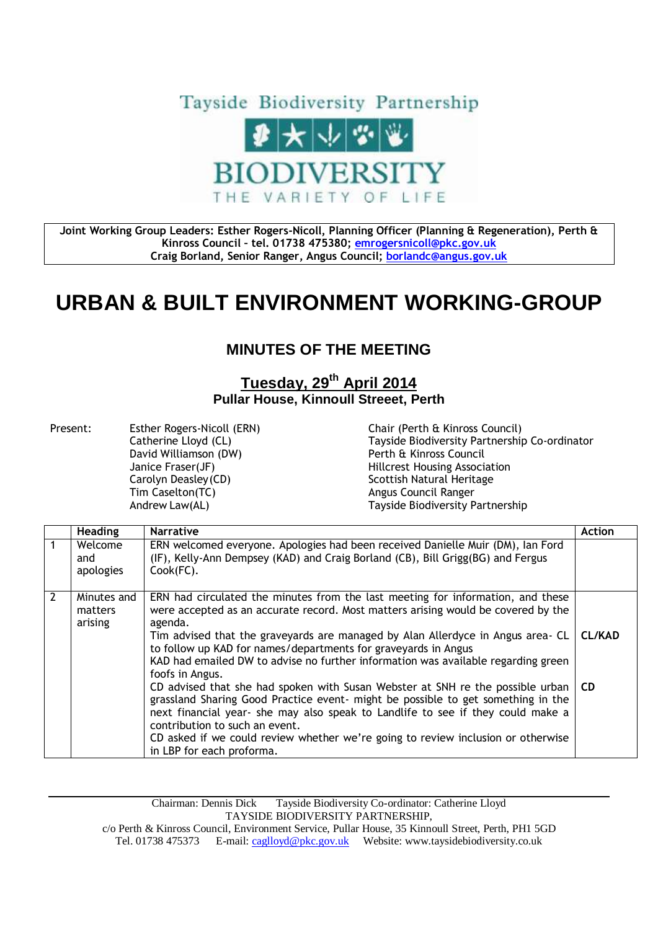

**Joint Working Group Leaders: Esther Rogers-Nicoll, Planning Officer (Planning & Regeneration), Perth & Kinross Council – tel. 01738 475380; [emrogersnicoll@pkc.gov.uk](mailto:emrogersnicoll@pkc.gov.uk) Craig Borland, Senior Ranger, Angus Council; [borlandc@angus.gov.uk](mailto:borlandc@angus.gov.uk)**

## **URBAN & BUILT ENVIRONMENT WORKING-GROUP**

## **MINUTES OF THE MEETING**

## **Tuesday, 29th April 2014 Pullar House, Kinnoull Streeet, Perth**

Present: Esther Rogers-Nicoll (ERN) Chair (Perth & Kinross Council) David Williamson (DW) Perth & Kinross Council Carolyn Deasley (CD) Scottish Natural Heritage Tim Caselton(TC) and the Council Ranger Angus Council Ranger

Catherine Lloyd (CL) Tayside Biodiversity Partnership Co-ordinator Janice Fraser(JF) Hillcrest Housing Association Andrew Law(AL) Tayside Biodiversity Partnership

|                | <b>Heading</b>                    | <b>Narrative</b>                                                                                                                                                                                                                                                                                                                                                                                                                                                                                                                                                                                                                                                                                                                                                                                                                            | <b>Action</b> |
|----------------|-----------------------------------|---------------------------------------------------------------------------------------------------------------------------------------------------------------------------------------------------------------------------------------------------------------------------------------------------------------------------------------------------------------------------------------------------------------------------------------------------------------------------------------------------------------------------------------------------------------------------------------------------------------------------------------------------------------------------------------------------------------------------------------------------------------------------------------------------------------------------------------------|---------------|
| $\mathbf{1}$   | Welcome<br>and<br>apologies       | ERN welcomed everyone. Apologies had been received Danielle Muir (DM), Ian Ford<br>(IF), Kelly-Ann Dempsey (KAD) and Craig Borland (CB), Bill Grigg(BG) and Fergus<br>Cook(FC).                                                                                                                                                                                                                                                                                                                                                                                                                                                                                                                                                                                                                                                             |               |
| $\overline{2}$ | Minutes and<br>matters<br>arising | ERN had circulated the minutes from the last meeting for information, and these<br>were accepted as an accurate record. Most matters arising would be covered by the<br>agenda.<br>Tim advised that the graveyards are managed by Alan Allerdyce in Angus area- CL<br>to follow up KAD for names/departments for graveyards in Angus<br>KAD had emailed DW to advise no further information was available regarding green<br>foofs in Angus.<br>CD advised that she had spoken with Susan Webster at SNH re the possible urban $\overline{CD}$<br>grassland Sharing Good Practice event- might be possible to get something in the<br>next financial year- she may also speak to Landlife to see if they could make a<br>contribution to such an event.<br>CD asked if we could review whether we're going to review inclusion or otherwise | <b>CL/KAD</b> |
|                |                                   | in LBP for each proforma.                                                                                                                                                                                                                                                                                                                                                                                                                                                                                                                                                                                                                                                                                                                                                                                                                   |               |

Chairman: Dennis Dick Tayside Biodiversity Co-ordinator: Catherine Lloyd TAYSIDE BIODIVERSITY PARTNERSHIP,

c/o Perth & Kinross Council, Environment Service, Pullar House, 35 Kinnoull Street, Perth, PH1 5GD Tel. 01738 475373 E-mail[: caglloyd@pkc.gov.uk](mailto:caglloyd@pkc.gov.uk) Website: www.taysidebiodiversity.co.uk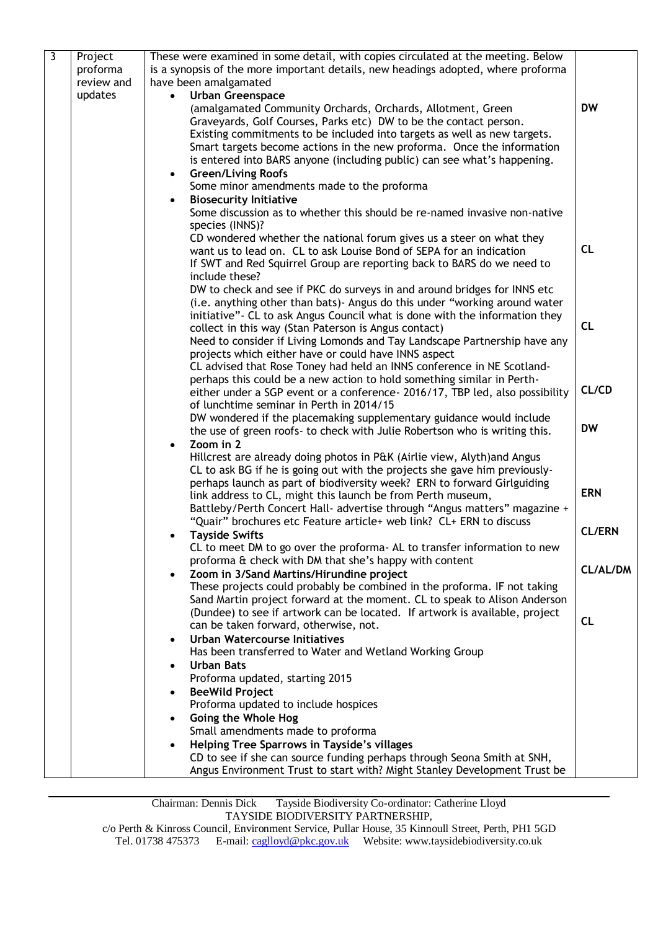| لا | Project    | These were examined in some detail, with copies circulated at the meeting. Below                                                       |                 |
|----|------------|----------------------------------------------------------------------------------------------------------------------------------------|-----------------|
|    | proforma   | is a synopsis of the more important details, new headings adopted, where proforma                                                      |                 |
|    | review and | have been amalgamated                                                                                                                  |                 |
|    | updates    | <b>Urban Greenspace</b>                                                                                                                |                 |
|    |            | (amalgamated Community Orchards, Orchards, Allotment, Green                                                                            | <b>DW</b>       |
|    |            | Graveyards, Golf Courses, Parks etc) DW to be the contact person.                                                                      |                 |
|    |            | Existing commitments to be included into targets as well as new targets.                                                               |                 |
|    |            | Smart targets become actions in the new proforma. Once the information                                                                 |                 |
|    |            | is entered into BARS anyone (including public) can see what's happening.                                                               |                 |
|    |            | <b>Green/Living Roofs</b><br>$\bullet$<br>Some minor amendments made to the proforma                                                   |                 |
|    |            | <b>Biosecurity Initiative</b><br>$\bullet$                                                                                             |                 |
|    |            | Some discussion as to whether this should be re-named invasive non-native                                                              |                 |
|    |            | species (INNS)?                                                                                                                        |                 |
|    |            | CD wondered whether the national forum gives us a steer on what they                                                                   |                 |
|    |            | want us to lead on. CL to ask Louise Bond of SEPA for an indication                                                                    | CL              |
|    |            | If SWT and Red Squirrel Group are reporting back to BARS do we need to                                                                 |                 |
|    |            | include these?                                                                                                                         |                 |
|    |            | DW to check and see if PKC do surveys in and around bridges for INNS etc                                                               |                 |
|    |            | (i.e. anything other than bats) - Angus do this under "working around water                                                            |                 |
|    |            | initiative" - CL to ask Angus Council what is done with the information they                                                           | <b>CL</b>       |
|    |            | collect in this way (Stan Paterson is Angus contact)                                                                                   |                 |
|    |            | Need to consider if Living Lomonds and Tay Landscape Partnership have any<br>projects which either have or could have INNS aspect      |                 |
|    |            | CL advised that Rose Toney had held an INNS conference in NE Scotland-                                                                 |                 |
|    |            | perhaps this could be a new action to hold something similar in Perth-                                                                 |                 |
|    |            | either under a SGP event or a conference- 2016/17, TBP led, also possibility                                                           | CL/CD           |
|    |            | of lunchtime seminar in Perth in 2014/15                                                                                               |                 |
|    |            | DW wondered if the placemaking supplementary guidance would include                                                                    |                 |
|    |            | the use of green roofs- to check with Julie Robertson who is writing this.                                                             | <b>DW</b>       |
|    |            | Zoom in 2                                                                                                                              |                 |
|    |            | Hillcrest are already doing photos in P&K (Airlie view, Alyth) and Angus                                                               |                 |
|    |            | CL to ask BG if he is going out with the projects she gave him previously-                                                             |                 |
|    |            | perhaps launch as part of biodiversity week? ERN to forward Girlguiding<br>link address to CL, might this launch be from Perth museum, | <b>ERN</b>      |
|    |            | Battleby/Perth Concert Hall- advertise through "Angus matters" magazine +                                                              |                 |
|    |            | "Quair" brochures etc Feature article+ web link? CL+ ERN to discuss                                                                    |                 |
|    |            | <b>Tayside Swifts</b>                                                                                                                  | <b>CL/ERN</b>   |
|    |            | CL to meet DM to go over the proforma- AL to transfer information to new                                                               |                 |
|    |            | proforma & check with DM that she's happy with content                                                                                 |                 |
|    |            | Zoom in 3/Sand Martins/Hirundine project                                                                                               | <b>CL/AL/DM</b> |
|    |            | These projects could probably be combined in the proforma. IF not taking                                                               |                 |
|    |            | Sand Martin project forward at the moment. CL to speak to Alison Anderson                                                              |                 |
|    |            | (Dundee) to see if artwork can be located. If artwork is available, project                                                            | <b>CL</b>       |
|    |            | can be taken forward, otherwise, not.                                                                                                  |                 |
|    |            | <b>Urban Watercourse Initiatives</b>                                                                                                   |                 |
|    |            | Has been transferred to Water and Wetland Working Group                                                                                |                 |
|    |            | <b>Urban Bats</b><br>Proforma updated, starting 2015                                                                                   |                 |
|    |            | <b>BeeWild Project</b>                                                                                                                 |                 |
|    |            | Proforma updated to include hospices                                                                                                   |                 |
|    |            | Going the Whole Hog                                                                                                                    |                 |
|    |            | Small amendments made to proforma                                                                                                      |                 |
|    |            | Helping Tree Sparrows in Tayside's villages                                                                                            |                 |
|    |            | CD to see if she can source funding perhaps through Seona Smith at SNH,                                                                |                 |
|    |            | Angus Environment Trust to start with? Might Stanley Development Trust be                                                              |                 |
|    |            |                                                                                                                                        |                 |

Chairman: Dennis Dick Tayside Biodiversity Co-ordinator: Catherine Lloyd TAYSIDE BIODIVERSITY PARTNERSHIP,

c/o Perth & Kinross Council, Environment Service, Pullar House, 35 Kinnoull Street, Perth, PH1 5GD Tel. 01738 475373 E-mail[: caglloyd@pkc.gov.uk](mailto:caglloyd@pkc.gov.uk) Website: www.taysidebiodiversity.co.uk